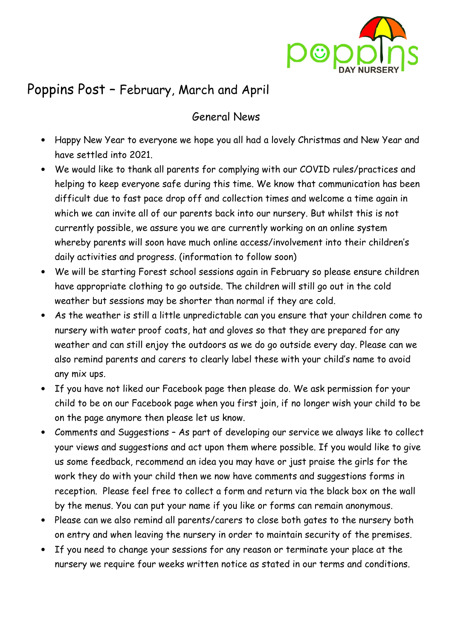

# Poppins Post – February, March and April

### General News

- Happy New Year to everyone we hope you all had a lovely Christmas and New Year and have settled into 2021.
- We would like to thank all parents for complying with our COVID rules/practices and helping to keep everyone safe during this time. We know that communication has been difficult due to fast pace drop off and collection times and welcome a time again in which we can invite all of our parents back into our nursery. But whilst this is not currently possible, we assure you we are currently working on an online system whereby parents will soon have much online access/involvement into their children's daily activities and progress. (information to follow soon)
- We will be starting Forest school sessions again in February so please ensure children have appropriate clothing to go outside. The children will still go out in the cold weather but sessions may be shorter than normal if they are cold.
- As the weather is still a little unpredictable can you ensure that your children come to nursery with water proof coats, hat and gloves so that they are prepared for any weather and can still enjoy the outdoors as we do go outside every day. Please can we also remind parents and carers to clearly label these with your child's name to avoid any mix ups.
- If you have not liked our Facebook page then please do. We ask permission for your child to be on our Facebook page when you first join, if no longer wish your child to be on the page anymore then please let us know.
- Comments and Suggestions As part of developing our service we always like to collect your views and suggestions and act upon them where possible. If you would like to give us some feedback, recommend an idea you may have or just praise the girls for the work they do with your child then we now have comments and suggestions forms in reception. Please feel free to collect a form and return via the black box on the wall by the menus. You can put your name if you like or forms can remain anonymous.
- Please can we also remind all parents/carers to close both gates to the nursery both on entry and when leaving the nursery in order to maintain security of the premises.
- If you need to change your sessions for any reason or terminate your place at the nursery we require four weeks written notice as stated in our terms and conditions.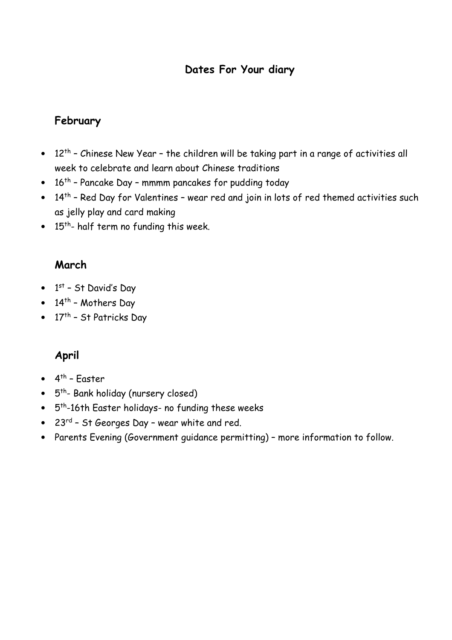# **Dates For Your diary**

# **February**

- $12<sup>th</sup>$  Chinese New Year the children will be taking part in a range of activities all week to celebrate and learn about Chinese traditions
- 16<sup>th</sup> Pancake Day mmmm pancakes for pudding today
- 14<sup>th</sup> Red Day for Valentines wear red and join in lots of red themed activities such as jelly play and card making
- $\bullet$  15<sup>th</sup>- half term no funding this week.

### **March**

- $\bullet$  1st St David's Day
- $14^{th}$  Mothers Day
- $17<sup>th</sup>$  St Patricks Day

# **April**

- $\bullet$  4<sup>th</sup> Easter
- 5<sup>th</sup>- Bank holiday (nursery closed)
- 5<sup>th</sup>-16th Easter holidays- no funding these weeks
- 23rd St Georges Day wear white and red.
- Parents Evening (Government guidance permitting) more information to follow.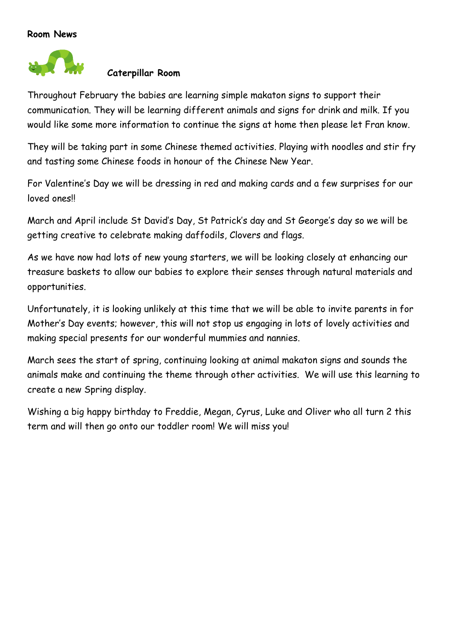#### **Room News**



#### **Caterpillar Room**

Throughout February the babies are learning simple makaton signs to support their communication. They will be learning different animals and signs for drink and milk. If you would like some more information to continue the signs at home then please let Fran know.

They will be taking part in some Chinese themed activities. Playing with noodles and stir fry and tasting some Chinese foods in honour of the Chinese New Year.

For Valentine's Day we will be dressing in red and making cards and a few surprises for our loved ones!

March and April include St David's Day, St Patrick's day and St George's day so we will be getting creative to celebrate making daffodils, Clovers and flags.

As we have now had lots of new young starters, we will be looking closely at enhancing our treasure baskets to allow our babies to explore their senses through natural materials and opportunities.

Unfortunately, it is looking unlikely at this time that we will be able to invite parents in for Mother's Day events; however, this will not stop us engaging in lots of lovely activities and making special presents for our wonderful mummies and nannies.

March sees the start of spring, continuing looking at animal makaton signs and sounds the animals make and continuing the theme through other activities. We will use this learning to create a new Spring display.

Wishing a big happy birthday to Freddie, Megan, Cyrus, Luke and Oliver who all turn 2 this term and will then go onto our toddler room! We will miss you!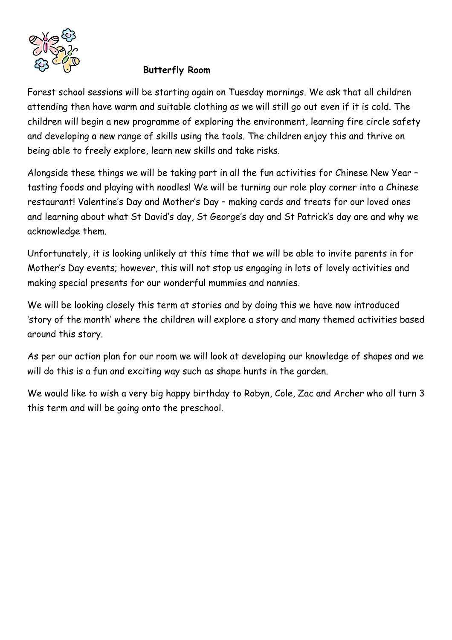

#### **Butterfly Room**

Forest school sessions will be starting again on Tuesday mornings. We ask that all children attending then have warm and suitable clothing as we will still go out even if it is cold. The children will begin a new programme of exploring the environment, learning fire circle safety and developing a new range of skills using the tools. The children enjoy this and thrive on being able to freely explore, learn new skills and take risks.

Alongside these things we will be taking part in all the fun activities for Chinese New Year – tasting foods and playing with noodles! We will be turning our role play corner into a Chinese restaurant! Valentine's Day and Mother's Day – making cards and treats for our loved ones and learning about what St David's day, St George's day and St Patrick's day are and why we acknowledge them.

Unfortunately, it is looking unlikely at this time that we will be able to invite parents in for Mother's Day events; however, this will not stop us engaging in lots of lovely activities and making special presents for our wonderful mummies and nannies.

We will be looking closely this term at stories and by doing this we have now introduced 'story of the month' where the children will explore a story and many themed activities based around this story.

As per our action plan for our room we will look at developing our knowledge of shapes and we will do this is a fun and exciting way such as shape hunts in the garden.

We would like to wish a very big happy birthday to Robyn, Cole, Zac and Archer who all turn 3 this term and will be going onto the preschool.